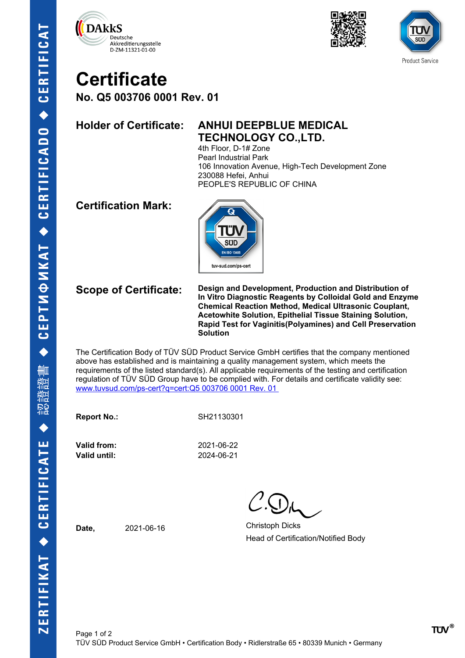





# **Certificate**

**No. Q5 003706 0001 Rev. 01**

## **Holder of Certificate: ANHUI DEEPBLUE MEDICAL TECHNOLOGY CO.,LTD.**

4th Floor, D-1# Zone Pearl Industrial Park 106 Innovation Avenue, High-Tech Development Zone 230088 Hefei, Anhui PEOPLE'S REPUBLIC OF CHINA

### **Certification Mark:**



**Scope of Certificate: Design and Development, Production and Distribution of In Vitro Diagnostic Reagents by Colloidal Gold and Enzyme Chemical Reaction Method, Medical Ultrasonic Couplant, Acetowhite Solution, Epithelial Tissue Staining Solution, Rapid Test for Vaginitis(Polyamines) and Cell Preservation Solution**

The Certification Body of TÜV SÜD Product Service GmbH certifies that the company mentioned above has established and is maintaining a quality management system, which meets the requirements of the listed standard(s). All applicable requirements of the testing and certification regulation of TÜV SÜD Group have to be complied with. For details and certificate validity see: [www.tuvsud.com/ps-cert?q=cert:Q5 003706 0001 Rev. 01](http://www.tuvsud.com/ps-cert?q=cert:Q5%20003706%200001%20Rev.%2001%C2%A0) 

**Report No.:** SH21130301

**Valid until:** 2024-06-21

Page 1 of 2

**Valid from:** 2021-06-22

Date, 2021-06-16 Christoph Dicks Head of Certification/Notified Body